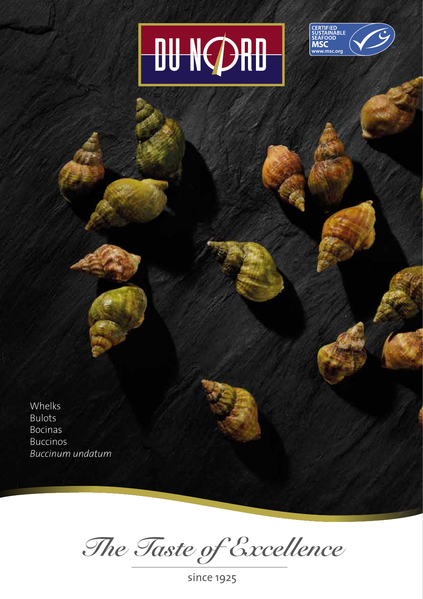## **DU NØRD**



Whelks Bulots Bocinas Buccinos *Buccinum undatum*

*The Taste of Excellence*

since 1925